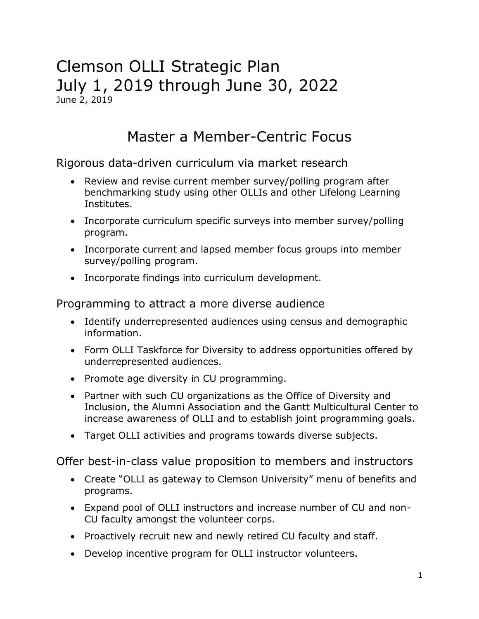### Clemson OLLI Strategic Plan July 1, 2019 through June 30, 2022 June 2, 2019

## Master a Member-Centric Focus

Rigorous data-driven curriculum via market research

- Review and revise current member survey/polling program after benchmarking study using other OLLIs and other Lifelong Learning Institutes.
- Incorporate curriculum specific surveys into member survey/polling program.
- Incorporate current and lapsed member focus groups into member survey/polling program.
- Incorporate findings into curriculum development.

#### Programming to attract a more diverse audience

- Identify underrepresented audiences using census and demographic information.
- Form OLLI Taskforce for Diversity to address opportunities offered by underrepresented audiences.
- Promote age diversity in CU programming.
- Partner with such CU organizations as the Office of Diversity and Inclusion, the Alumni Association and the Gantt Multicultural Center to increase awareness of OLLI and to establish joint programming goals.
- Target OLLI activities and programs towards diverse subjects.

Offer best-in-class value proposition to members and instructors

- Create "OLLI as gateway to Clemson University" menu of benefits and programs.
- Expand pool of OLLI instructors and increase number of CU and non-CU faculty amongst the volunteer corps.
- Proactively recruit new and newly retired CU faculty and staff.
- Develop incentive program for OLLI instructor volunteers.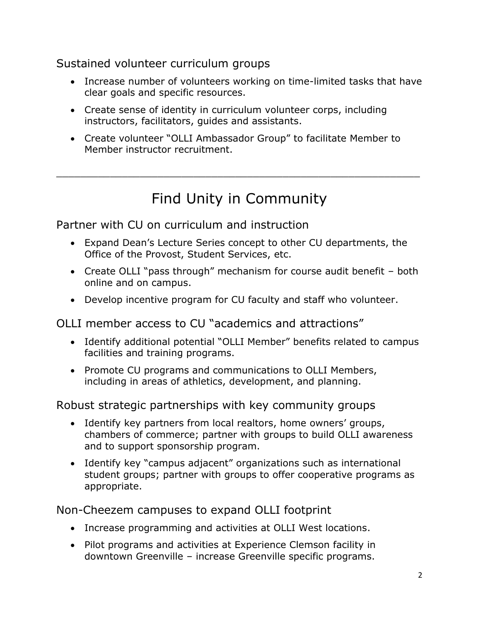### Sustained volunteer curriculum groups

- Increase number of volunteers working on time-limited tasks that have clear goals and specific resources.
- Create sense of identity in curriculum volunteer corps, including instructors, facilitators, guides and assistants.
- Create volunteer "OLLI Ambassador Group" to facilitate Member to Member instructor recruitment.

## Find Unity in Community

\_\_\_\_\_\_\_\_\_\_\_\_\_\_\_\_\_\_\_\_\_\_\_\_\_\_\_\_\_\_\_\_\_\_\_\_\_\_\_\_\_\_\_\_\_\_\_\_\_\_\_\_\_\_\_\_\_\_\_\_\_

Partner with CU on curriculum and instruction

- Expand Dean's Lecture Series concept to other CU departments, the Office of the Provost, Student Services, etc.
- Create OLLI "pass through" mechanism for course audit benefit both online and on campus.
- Develop incentive program for CU faculty and staff who volunteer.

OLLI member access to CU "academics and attractions"

- Identify additional potential "OLLI Member" benefits related to campus facilities and training programs.
- Promote CU programs and communications to OLLI Members, including in areas of athletics, development, and planning.

Robust strategic partnerships with key community groups

- Identify key partners from local realtors, home owners' groups, chambers of commerce; partner with groups to build OLLI awareness and to support sponsorship program.
- Identify key "campus adjacent" organizations such as international student groups; partner with groups to offer cooperative programs as appropriate.

Non-Cheezem campuses to expand OLLI footprint

- Increase programming and activities at OLLI West locations.
- Pilot programs and activities at Experience Clemson facility in downtown Greenville – increase Greenville specific programs.